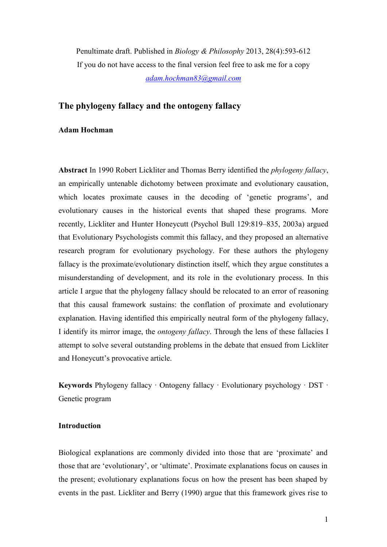Penultimate draft. Published in *Biology & Philosophy* 2013, 28(4):593-612 If you do not have access to the final version feel free to ask me for a copy *adam.hochman83@gmail.com*

## **The phylogeny fallacy and the ontogeny fallacy**

#### **Adam Hochman**

**Abstract** In 1990 Robert Lickliter and Thomas Berry identified the *phylogeny fallacy*, an empirically untenable dichotomy between proximate and evolutionary causation, which locates proximate causes in the decoding of 'genetic programs', and evolutionary causes in the historical events that shaped these programs. More recently, Lickliter and Hunter Honeycutt (Psychol Bull 129:819–835, 2003a) argued that Evolutionary Psychologists commit this fallacy, and they proposed an alternative research program for evolutionary psychology. For these authors the phylogeny fallacy is the proximate/evolutionary distinction itself, which they argue constitutes a misunderstanding of development, and its role in the evolutionary process. In this article I argue that the phylogeny fallacy should be relocated to an error of reasoning that this causal framework sustains: the conflation of proximate and evolutionary explanation. Having identified this empirically neutral form of the phylogeny fallacy, I identify its mirror image, the *ontogeny fallacy*. Through the lens of these fallacies I attempt to solve several outstanding problems in the debate that ensued from Lickliter and Honeycutt's provocative article.

**Keywords** Phylogeny fallacy · Ontogeny fallacy · Evolutionary psychology · DST · Genetic program

## **Introduction**

Biological explanations are commonly divided into those that are 'proximate' and those that are 'evolutionary', or 'ultimate'. Proximate explanations focus on causes in the present; evolutionary explanations focus on how the present has been shaped by events in the past. Lickliter and Berry (1990) argue that this framework gives rise to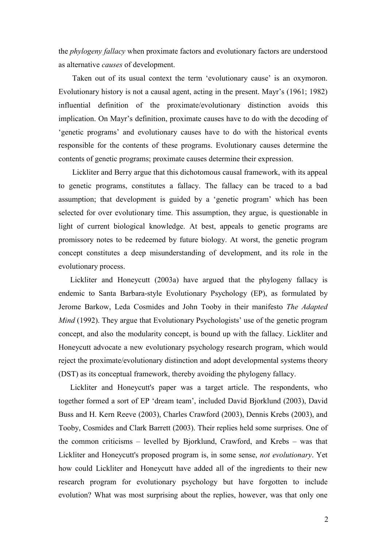the *phylogeny fallacy* when proximate factors and evolutionary factors are understood as alternative *causes* of development.

Taken out of its usual context the term 'evolutionary cause' is an oxymoron. Evolutionary history is not a causal agent, acting in the present. Mayr's (1961; 1982) influential definition of the proximate/evolutionary distinction avoids this implication. On Mayr's definition, proximate causes have to do with the decoding of 'genetic programs' and evolutionary causes have to do with the historical events responsible for the contents of these programs. Evolutionary causes determine the contents of genetic programs; proximate causes determine their expression.

Lickliter and Berry argue that this dichotomous causal framework, with its appeal to genetic programs, constitutes a fallacy. The fallacy can be traced to a bad assumption; that development is guided by a 'genetic program' which has been selected for over evolutionary time. This assumption, they argue, is questionable in light of current biological knowledge. At best, appeals to genetic programs are promissory notes to be redeemed by future biology. At worst, the genetic program concept constitutes a deep misunderstanding of development, and its role in the evolutionary process.

Lickliter and Honeycutt (2003a) have argued that the phylogeny fallacy is endemic to Santa Barbara-style Evolutionary Psychology (EP), as formulated by Jerome Barkow, Leda Cosmides and John Tooby in their manifesto *The Adapted Mind* (1992). They argue that Evolutionary Psychologists' use of the genetic program concept, and also the modularity concept, is bound up with the fallacy. Lickliter and Honeycutt advocate a new evolutionary psychology research program, which would reject the proximate/evolutionary distinction and adopt developmental systems theory (DST) as its conceptual framework, thereby avoiding the phylogeny fallacy.

Lickliter and Honeycutt's paper was a target article. The respondents, who together formed a sort of EP 'dream team', included David Bjorklund (2003), David Buss and H. Kern Reeve (2003), Charles Crawford (2003), Dennis Krebs (2003), and Tooby, Cosmides and Clark Barrett (2003). Their replies held some surprises. One of the common criticisms – levelled by Bjorklund, Crawford, and Krebs – was that Lickliter and Honeycutt's proposed program is, in some sense, *not evolutionary*. Yet how could Lickliter and Honeycutt have added all of the ingredients to their new research program for evolutionary psychology but have forgotten to include evolution? What was most surprising about the replies, however, was that only one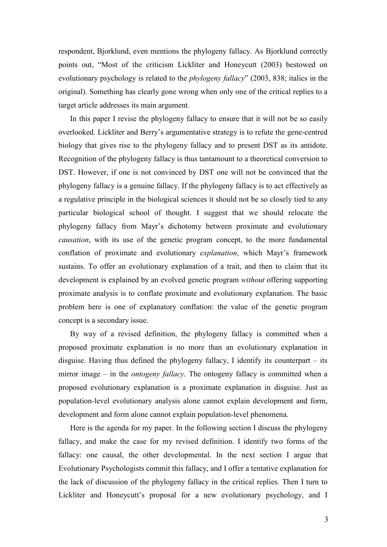respondent, Bjorklund, even mentions the phylogeny fallacy. As Bjorklund correctly points out, "Most of the criticism Lickliter and Honeycutt (2003) bestowed on evolutionary psychology is related to the *phylogeny fallacy*" (2003, 838; italics in the original). Something has clearly gone wrong when only one of the critical replies to a target article addresses its main argument.

In this paper I revise the phylogeny fallacy to ensure that it will not be so easily overlooked. Lickliter and Berry's argumentative strategy is to refute the gene-centred biology that gives rise to the phylogeny fallacy and to present DST as its antidote. Recognition of the phylogeny fallacy is thus tantamount to a theoretical conversion to DST. However, if one is not convinced by DST one will not be convinced that the phylogeny fallacy is a genuine fallacy. If the phylogeny fallacy is to act effectively as a regulative principle in the biological sciences it should not be so closely tied to any particular biological school of thought. I suggest that we should relocate the phylogeny fallacy from Mayr's dichotomy between proximate and evolutionary *causation*, with its use of the genetic program concept, to the more fundamental conflation of proximate and evolutionary *explanation*, which Mayr's framework sustains. To offer an evolutionary explanation of a trait, and then to claim that its development is explained by an evolved genetic program *without* offering supporting proximate analysis is to conflate proximate and evolutionary explanation. The basic problem here is one of explanatory conflation: the value of the genetic program concept is a secondary issue.

By way of a revised definition, the phylogeny fallacy is committed when a proposed proximate explanation is no more than an evolutionary explanation in disguise. Having thus defined the phylogeny fallacy, I identify its counterpart – its mirror image – in the *ontogeny fallacy*. The ontogeny fallacy is committed when a proposed evolutionary explanation is a proximate explanation in disguise. Just as population-level evolutionary analysis alone cannot explain development and form, development and form alone cannot explain population-level phenomena.

Here is the agenda for my paper. In the following section I discuss the phylogeny fallacy, and make the case for my revised definition. I identify two forms of the fallacy: one causal, the other developmental. In the next section I argue that Evolutionary Psychologists commit this fallacy, and I offer a tentative explanation for the lack of discussion of the phylogeny fallacy in the critical replies. Then I turn to Lickliter and Honeycutt's proposal for a new evolutionary psychology, and I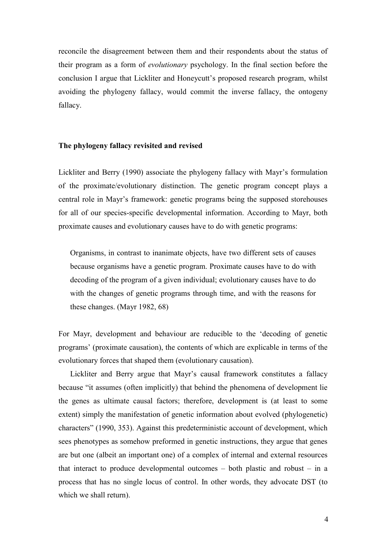reconcile the disagreement between them and their respondents about the status of their program as a form of *evolutionary* psychology. In the final section before the conclusion I argue that Lickliter and Honeycutt's proposed research program, whilst avoiding the phylogeny fallacy, would commit the inverse fallacy, the ontogeny fallacy.

#### **The phylogeny fallacy revisited and revised**

Lickliter and Berry (1990) associate the phylogeny fallacy with Mayr's formulation of the proximate/evolutionary distinction. The genetic program concept plays a central role in Mayr's framework: genetic programs being the supposed storehouses for all of our species-specific developmental information. According to Mayr, both proximate causes and evolutionary causes have to do with genetic programs:

Organisms, in contrast to inanimate objects, have two different sets of causes because organisms have a genetic program. Proximate causes have to do with decoding of the program of a given individual; evolutionary causes have to do with the changes of genetic programs through time, and with the reasons for these changes. (Mayr 1982, 68)

For Mayr, development and behaviour are reducible to the 'decoding of genetic programs' (proximate causation), the contents of which are explicable in terms of the evolutionary forces that shaped them (evolutionary causation).

Lickliter and Berry argue that Mayr's causal framework constitutes a fallacy because "it assumes (often implicitly) that behind the phenomena of development lie the genes as ultimate causal factors; therefore, development is (at least to some extent) simply the manifestation of genetic information about evolved (phylogenetic) characters" (1990, 353). Against this predeterministic account of development, which sees phenotypes as somehow preformed in genetic instructions, they argue that genes are but one (albeit an important one) of a complex of internal and external resources that interact to produce developmental outcomes – both plastic and robust – in a process that has no single locus of control. In other words, they advocate DST (to which we shall return).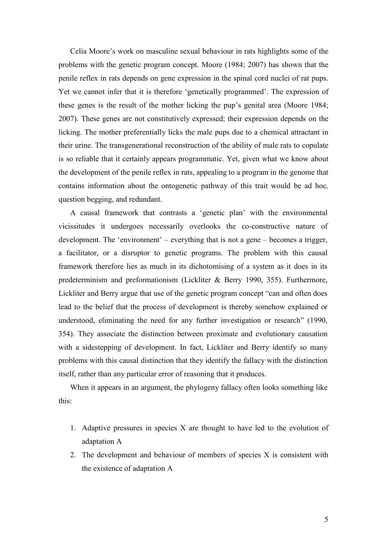Celia Moore's work on masculine sexual behaviour in rats highlights some of the problems with the genetic program concept. Moore (1984; 2007) has shown that the penile reflex in rats depends on gene expression in the spinal cord nuclei of rat pups. Yet we cannot infer that it is therefore 'genetically programmed'. The expression of these genes is the result of the mother licking the pup's genital area (Moore 1984; 2007). These genes are not constitutively expressed; their expression depends on the licking. The mother preferentially licks the male pups due to a chemical attractant in their urine. The transgenerational reconstruction of the ability of male rats to copulate is so reliable that it certainly appears programmatic. Yet, given what we know about the development of the penile reflex in rats, appealing to a program in the genome that contains information about the ontogenetic pathway of this trait would be ad hoc*,*  question begging, and redundant.

A causal framework that contrasts a 'genetic plan' with the environmental vicissitudes it undergoes necessarily overlooks the co-constructive nature of development. The 'environment' – everything that is not a gene – becomes a trigger, a facilitator, or a disruptor to genetic programs. The problem with this causal framework therefore lies as much in its dichotomising of a system as it does in its predeterminism and preformationism (Lickliter & Berry 1990, 355). Furthermore, Lickliter and Berry argue that use of the genetic program concept "can and often does lead to the belief that the process of development is thereby somehow explained or understood, eliminating the need for any further investigation or research" (1990, 354). They associate the distinction between proximate and evolutionary causation with a sidestepping of development. In fact, Lickliter and Berry identify so many problems with this causal distinction that they identify the fallacy with the distinction itself, rather than any particular error of reasoning that it produces.

When it appears in an argument, the phylogeny fallacy often looks something like this:

- 1. Adaptive pressures in species X are thought to have led to the evolution of adaptation A
- 2. The development and behaviour of members of species X is consistent with the existence of adaptation A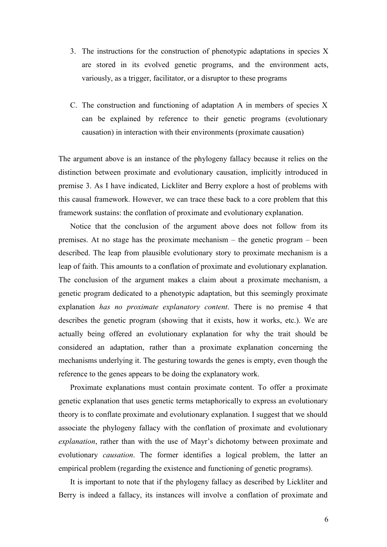- 3. The instructions for the construction of phenotypic adaptations in species X are stored in its evolved genetic programs, and the environment acts, variously, as a trigger, facilitator, or a disruptor to these programs
- C. The construction and functioning of adaptation A in members of species X can be explained by reference to their genetic programs (evolutionary causation) in interaction with their environments (proximate causation)

The argument above is an instance of the phylogeny fallacy because it relies on the distinction between proximate and evolutionary causation, implicitly introduced in premise 3. As I have indicated, Lickliter and Berry explore a host of problems with this causal framework. However, we can trace these back to a core problem that this framework sustains: the conflation of proximate and evolutionary explanation.

Notice that the conclusion of the argument above does not follow from its premises. At no stage has the proximate mechanism – the genetic program – been described. The leap from plausible evolutionary story to proximate mechanism is a leap of faith. This amounts to a conflation of proximate and evolutionary explanation. The conclusion of the argument makes a claim about a proximate mechanism, a genetic program dedicated to a phenotypic adaptation, but this seemingly proximate explanation *has no proximate explanatory content*. There is no premise 4 that describes the genetic program (showing that it exists, how it works, etc.). We are actually being offered an evolutionary explanation for why the trait should be considered an adaptation, rather than a proximate explanation concerning the mechanisms underlying it. The gesturing towards the genes is empty, even though the reference to the genes appears to be doing the explanatory work.

Proximate explanations must contain proximate content. To offer a proximate genetic explanation that uses genetic terms metaphorically to express an evolutionary theory is to conflate proximate and evolutionary explanation. I suggest that we should associate the phylogeny fallacy with the conflation of proximate and evolutionary *explanation*, rather than with the use of Mayr's dichotomy between proximate and evolutionary *causation*. The former identifies a logical problem, the latter an empirical problem (regarding the existence and functioning of genetic programs).

It is important to note that if the phylogeny fallacy as described by Lickliter and Berry is indeed a fallacy, its instances will involve a conflation of proximate and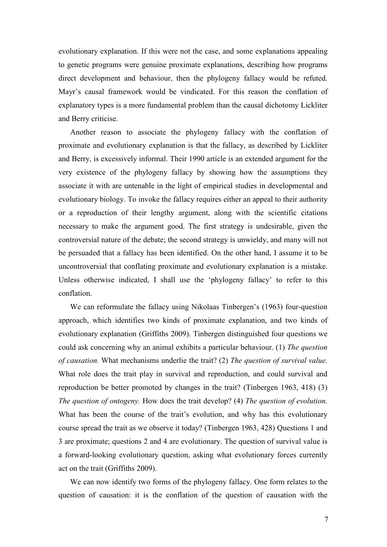evolutionary explanation. If this were not the case, and some explanations appealing to genetic programs were genuine proximate explanations, describing how programs direct development and behaviour, then the phylogeny fallacy would be refuted. Mayr's causal framework would be vindicated. For this reason the conflation of explanatory types is a more fundamental problem than the causal dichotomy Lickliter and Berry criticise.

Another reason to associate the phylogeny fallacy with the conflation of proximate and evolutionary explanation is that the fallacy, as described by Lickliter and Berry, is excessively informal. Their 1990 article is an extended argument for the very existence of the phylogeny fallacy by showing how the assumptions they associate it with are untenable in the light of empirical studies in developmental and evolutionary biology. To invoke the fallacy requires either an appeal to their authority or a reproduction of their lengthy argument, along with the scientific citations necessary to make the argument good. The first strategy is undesirable, given the controversial nature of the debate; the second strategy is unwieldy, and many will not be persuaded that a fallacy has been identified. On the other hand, I assume it to be uncontroversial that conflating proximate and evolutionary explanation is a mistake. Unless otherwise indicated, I shall use the 'phylogeny fallacy' to refer to this conflation.

We can reformulate the fallacy using Nikolaas Tinbergen's (1963) four-question approach, which identifies two kinds of proximate explanation, and two kinds of evolutionary explanation (Griffiths 2009). Tinbergen distinguished four questions we could ask concerning why an animal exhibits a particular behaviour. (1) *The question of causation.* What mechanisms underlie the trait? (2) *The question of survival value.*  What role does the trait play in survival and reproduction, and could survival and reproduction be better promoted by changes in the trait? (Tinbergen 1963, 418) (3) *The question of ontogeny.* How does the trait develop? (4) *The question of evolution.*  What has been the course of the trait's evolution, and why has this evolutionary course spread the trait as we observe it today? (Tinbergen 1963, 428) Questions 1 and 3 are proximate; questions 2 and 4 are evolutionary. The question of survival value is a forward-looking evolutionary question, asking what evolutionary forces currently act on the trait (Griffiths 2009).

We can now identify two forms of the phylogeny fallacy. One form relates to the question of causation: it is the conflation of the question of causation with the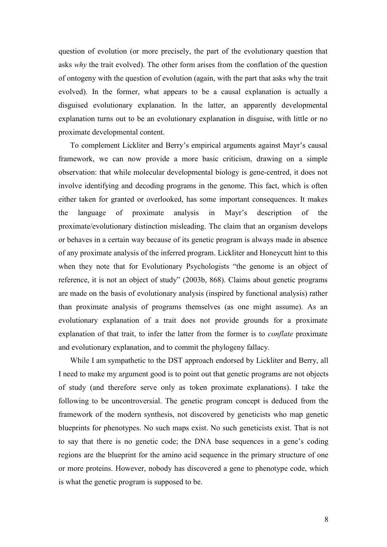question of evolution (or more precisely, the part of the evolutionary question that asks *why* the trait evolved). The other form arises from the conflation of the question of ontogeny with the question of evolution (again, with the part that asks why the trait evolved). In the former, what appears to be a causal explanation is actually a disguised evolutionary explanation. In the latter, an apparently developmental explanation turns out to be an evolutionary explanation in disguise, with little or no proximate developmental content.

To complement Lickliter and Berry's empirical arguments against Mayr's causal framework, we can now provide a more basic criticism, drawing on a simple observation: that while molecular developmental biology is gene-centred, it does not involve identifying and decoding programs in the genome. This fact, which is often either taken for granted or overlooked, has some important consequences. It makes the language of proximate analysis in Mayr's description of the proximate/evolutionary distinction misleading. The claim that an organism develops or behaves in a certain way because of its genetic program is always made in absence of any proximate analysis of the inferred program. Lickliter and Honeycutt hint to this when they note that for Evolutionary Psychologists "the genome is an object of reference, it is not an object of study" (2003b, 868). Claims about genetic programs are made on the basis of evolutionary analysis (inspired by functional analysis) rather than proximate analysis of programs themselves (as one might assume). As an evolutionary explanation of a trait does not provide grounds for a proximate explanation of that trait, to infer the latter from the former is to *conflate* proximate and evolutionary explanation, and to commit the phylogeny fallacy.

While I am sympathetic to the DST approach endorsed by Lickliter and Berry, all I need to make my argument good is to point out that genetic programs are not objects of study (and therefore serve only as token proximate explanations). I take the following to be uncontroversial. The genetic program concept is deduced from the framework of the modern synthesis, not discovered by geneticists who map genetic blueprints for phenotypes. No such maps exist. No such geneticists exist. That is not to say that there is no genetic code; the DNA base sequences in a gene's coding regions are the blueprint for the amino acid sequence in the primary structure of one or more proteins. However, nobody has discovered a gene to phenotype code, which is what the genetic program is supposed to be.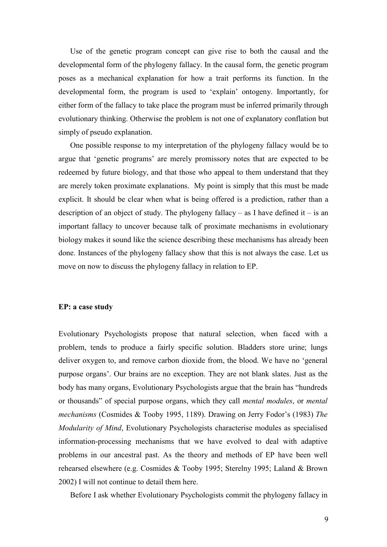Use of the genetic program concept can give rise to both the causal and the developmental form of the phylogeny fallacy. In the causal form, the genetic program poses as a mechanical explanation for how a trait performs its function. In the developmental form, the program is used to 'explain' ontogeny. Importantly, for either form of the fallacy to take place the program must be inferred primarily through evolutionary thinking. Otherwise the problem is not one of explanatory conflation but simply of pseudo explanation.

One possible response to my interpretation of the phylogeny fallacy would be to argue that 'genetic programs' are merely promissory notes that are expected to be redeemed by future biology, and that those who appeal to them understand that they are merely token proximate explanations. My point is simply that this must be made explicit. It should be clear when what is being offered is a prediction, rather than a description of an object of study. The phylogeny fallacy – as I have defined it – is an important fallacy to uncover because talk of proximate mechanisms in evolutionary biology makes it sound like the science describing these mechanisms has already been done. Instances of the phylogeny fallacy show that this is not always the case. Let us move on now to discuss the phylogeny fallacy in relation to EP.

### **EP: a case study**

Evolutionary Psychologists propose that natural selection, when faced with a problem, tends to produce a fairly specific solution. Bladders store urine; lungs deliver oxygen to, and remove carbon dioxide from, the blood. We have no 'general purpose organs'. Our brains are no exception. They are not blank slates. Just as the body has many organs, Evolutionary Psychologists argue that the brain has "hundreds or thousands" of special purpose organs, which they call *mental modules*, or *mental mechanisms* (Cosmides & Tooby 1995, 1189). Drawing on Jerry Fodor's (1983) *The Modularity of Mind*, Evolutionary Psychologists characterise modules as specialised information-processing mechanisms that we have evolved to deal with adaptive problems in our ancestral past. As the theory and methods of EP have been well rehearsed elsewhere (e.g. Cosmides & Tooby 1995; Sterelny 1995; Laland & Brown 2002) I will not continue to detail them here.

Before I ask whether Evolutionary Psychologists commit the phylogeny fallacy in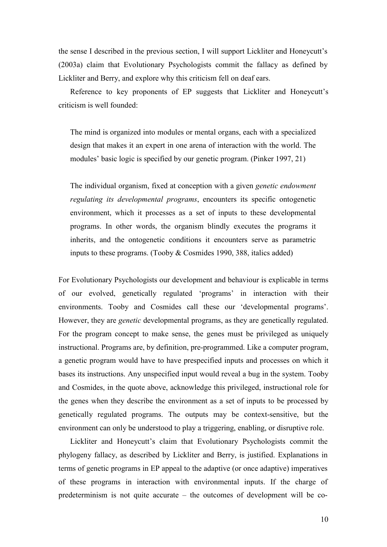the sense I described in the previous section, I will support Lickliter and Honeycutt's (2003a) claim that Evolutionary Psychologists commit the fallacy as defined by Lickliter and Berry, and explore why this criticism fell on deaf ears.

Reference to key proponents of EP suggests that Lickliter and Honeycutt's criticism is well founded:

The mind is organized into modules or mental organs, each with a specialized design that makes it an expert in one arena of interaction with the world. The modules' basic logic is specified by our genetic program. (Pinker 1997, 21)

The individual organism, fixed at conception with a given *genetic endowment regulating its developmental programs*, encounters its specific ontogenetic environment, which it processes as a set of inputs to these developmental programs. In other words, the organism blindly executes the programs it inherits, and the ontogenetic conditions it encounters serve as parametric inputs to these programs. (Tooby & Cosmides 1990, 388, italics added)

For Evolutionary Psychologists our development and behaviour is explicable in terms of our evolved, genetically regulated 'programs' in interaction with their environments. Tooby and Cosmides call these our 'developmental programs'. However, they are *genetic* developmental programs, as they are genetically regulated. For the program concept to make sense, the genes must be privileged as uniquely instructional. Programs are, by definition, pre-programmed. Like a computer program, a genetic program would have to have prespecified inputs and processes on which it bases its instructions. Any unspecified input would reveal a bug in the system. Tooby and Cosmides, in the quote above, acknowledge this privileged, instructional role for the genes when they describe the environment as a set of inputs to be processed by genetically regulated programs. The outputs may be context-sensitive, but the environment can only be understood to play a triggering, enabling, or disruptive role.

Lickliter and Honeycutt's claim that Evolutionary Psychologists commit the phylogeny fallacy, as described by Lickliter and Berry, is justified. Explanations in terms of genetic programs in EP appeal to the adaptive (or once adaptive) imperatives of these programs in interaction with environmental inputs. If the charge of predeterminism is not quite accurate – the outcomes of development will be co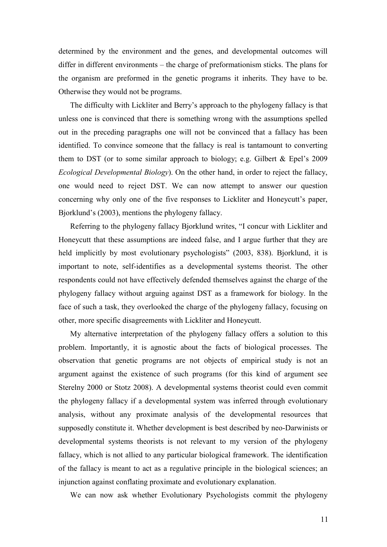determined by the environment and the genes, and developmental outcomes will differ in different environments – the charge of preformationism sticks. The plans for the organism are preformed in the genetic programs it inherits. They have to be. Otherwise they would not be programs.

The difficulty with Lickliter and Berry's approach to the phylogeny fallacy is that unless one is convinced that there is something wrong with the assumptions spelled out in the preceding paragraphs one will not be convinced that a fallacy has been identified. To convince someone that the fallacy is real is tantamount to converting them to DST (or to some similar approach to biology; e.g. Gilbert & Epel's 2009 *Ecological Developmental Biology*). On the other hand, in order to reject the fallacy, one would need to reject DST. We can now attempt to answer our question concerning why only one of the five responses to Lickliter and Honeycutt's paper, Bjorklund's (2003), mentions the phylogeny fallacy.

Referring to the phylogeny fallacy Bjorklund writes, "I concur with Lickliter and Honeycutt that these assumptions are indeed false, and I argue further that they are held implicitly by most evolutionary psychologists" (2003, 838). Bjorklund, it is important to note, self-identifies as a developmental systems theorist. The other respondents could not have effectively defended themselves against the charge of the phylogeny fallacy without arguing against DST as a framework for biology. In the face of such a task, they overlooked the charge of the phylogeny fallacy, focusing on other, more specific disagreements with Lickliter and Honeycutt.

My alternative interpretation of the phylogeny fallacy offers a solution to this problem. Importantly, it is agnostic about the facts of biological processes. The observation that genetic programs are not objects of empirical study is not an argument against the existence of such programs (for this kind of argument see Sterelny 2000 or Stotz 2008). A developmental systems theorist could even commit the phylogeny fallacy if a developmental system was inferred through evolutionary analysis, without any proximate analysis of the developmental resources that supposedly constitute it. Whether development is best described by neo-Darwinists or developmental systems theorists is not relevant to my version of the phylogeny fallacy, which is not allied to any particular biological framework. The identification of the fallacy is meant to act as a regulative principle in the biological sciences; an injunction against conflating proximate and evolutionary explanation.

We can now ask whether Evolutionary Psychologists commit the phylogeny

11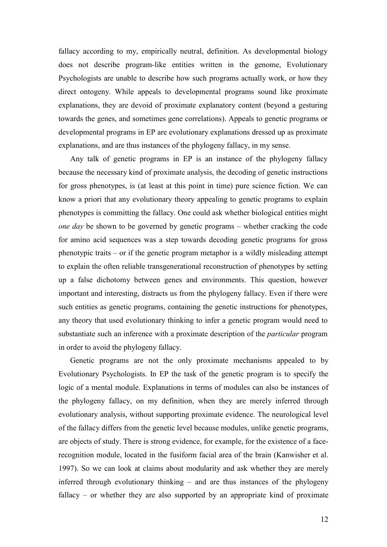fallacy according to my, empirically neutral, definition. As developmental biology does not describe program-like entities written in the genome, Evolutionary Psychologists are unable to describe how such programs actually work, or how they direct ontogeny. While appeals to developmental programs sound like proximate explanations, they are devoid of proximate explanatory content (beyond a gesturing towards the genes, and sometimes gene correlations). Appeals to genetic programs or developmental programs in EP are evolutionary explanations dressed up as proximate explanations, and are thus instances of the phylogeny fallacy, in my sense.

Any talk of genetic programs in EP is an instance of the phylogeny fallacy because the necessary kind of proximate analysis, the decoding of genetic instructions for gross phenotypes, is (at least at this point in time) pure science fiction. We can know a priori that any evolutionary theory appealing to genetic programs to explain phenotypes is committing the fallacy. One could ask whether biological entities might *one day* be shown to be governed by genetic programs – whether cracking the code for amino acid sequences was a step towards decoding genetic programs for gross phenotypic traits – or if the genetic program metaphor is a wildly misleading attempt to explain the often reliable transgenerational reconstruction of phenotypes by setting up a false dichotomy between genes and environments. This question, however important and interesting, distracts us from the phylogeny fallacy. Even if there were such entities as genetic programs, containing the genetic instructions for phenotypes, any theory that used evolutionary thinking to infer a genetic program would need to substantiate such an inference with a proximate description of the *particular* program in order to avoid the phylogeny fallacy.

Genetic programs are not the only proximate mechanisms appealed to by Evolutionary Psychologists. In EP the task of the genetic program is to specify the logic of a mental module. Explanations in terms of modules can also be instances of the phylogeny fallacy, on my definition, when they are merely inferred through evolutionary analysis, without supporting proximate evidence. The neurological level of the fallacy differs from the genetic level because modules, unlike genetic programs, are objects of study. There is strong evidence, for example, for the existence of a facerecognition module, located in the fusiform facial area of the brain (Kanwisher et al. 1997). So we can look at claims about modularity and ask whether they are merely inferred through evolutionary thinking – and are thus instances of the phylogeny fallacy – or whether they are also supported by an appropriate kind of proximate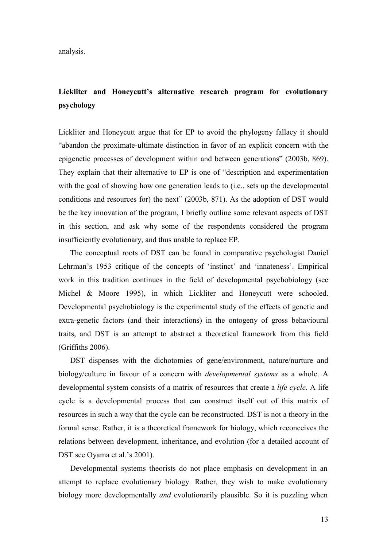analysis.

# **Lickliter and Honeycutt's alternative research program for evolutionary psychology**

Lickliter and Honeycutt argue that for EP to avoid the phylogeny fallacy it should "abandon the proximate-ultimate distinction in favor of an explicit concern with the epigenetic processes of development within and between generations" (2003b, 869). They explain that their alternative to EP is one of "description and experimentation with the goal of showing how one generation leads to (i.e., sets up the developmental conditions and resources for) the next" (2003b, 871). As the adoption of DST would be the key innovation of the program, I briefly outline some relevant aspects of DST in this section, and ask why some of the respondents considered the program insufficiently evolutionary, and thus unable to replace EP.

The conceptual roots of DST can be found in comparative psychologist Daniel Lehrman's 1953 critique of the concepts of 'instinct' and 'innateness'. Empirical work in this tradition continues in the field of developmental psychobiology (see Michel & Moore 1995), in which Lickliter and Honeycutt were schooled. Developmental psychobiology is the experimental study of the effects of genetic and extra-genetic factors (and their interactions) in the ontogeny of gross behavioural traits, and DST is an attempt to abstract a theoretical framework from this field (Griffiths 2006).

DST dispenses with the dichotomies of gene/environment, nature/nurture and biology/culture in favour of a concern with *developmental systems* as a whole. A developmental system consists of a matrix of resources that create a *life cycle*. A life cycle is a developmental process that can construct itself out of this matrix of resources in such a way that the cycle can be reconstructed. DST is not a theory in the formal sense. Rather, it is a theoretical framework for biology, which reconceives the relations between development, inheritance, and evolution (for a detailed account of DST see Oyama et al.'s 2001).

Developmental systems theorists do not place emphasis on development in an attempt to replace evolutionary biology. Rather, they wish to make evolutionary biology more developmentally *and* evolutionarily plausible. So it is puzzling when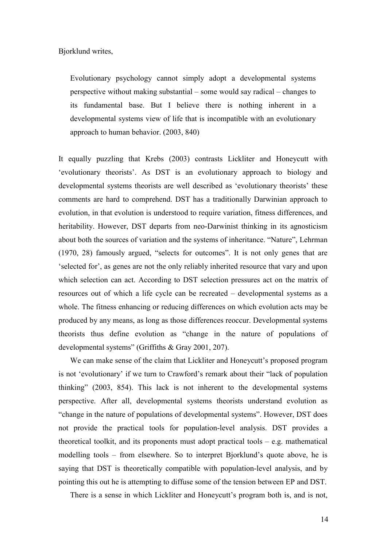Bjorklund writes,

Evolutionary psychology cannot simply adopt a developmental systems perspective without making substantial – some would say radical – changes to its fundamental base. But I believe there is nothing inherent in a developmental systems view of life that is incompatible with an evolutionary approach to human behavior. (2003, 840)

It equally puzzling that Krebs (2003) contrasts Lickliter and Honeycutt with 'evolutionary theorists'. As DST is an evolutionary approach to biology and developmental systems theorists are well described as 'evolutionary theorists' these comments are hard to comprehend. DST has a traditionally Darwinian approach to evolution, in that evolution is understood to require variation, fitness differences, and heritability. However, DST departs from neo-Darwinist thinking in its agnosticism about both the sources of variation and the systems of inheritance. "Nature", Lehrman (1970, 28) famously argued, "selects for outcomes". It is not only genes that are 'selected for', as genes are not the only reliably inherited resource that vary and upon which selection can act. According to DST selection pressures act on the matrix of resources out of which a life cycle can be recreated – developmental systems as a whole. The fitness enhancing or reducing differences on which evolution acts may be produced by any means, as long as those differences reoccur. Developmental systems theorists thus define evolution as "change in the nature of populations of developmental systems" (Griffiths & Gray 2001, 207).

We can make sense of the claim that Lickliter and Honeycutt's proposed program is not 'evolutionary' if we turn to Crawford's remark about their "lack of population thinking" (2003, 854). This lack is not inherent to the developmental systems perspective. After all, developmental systems theorists understand evolution as "change in the nature of populations of developmental systems". However, DST does not provide the practical tools for population-level analysis. DST provides a theoretical toolkit, and its proponents must adopt practical tools – e.g. mathematical modelling tools – from elsewhere. So to interpret Bjorklund's quote above, he is saying that DST is theoretically compatible with population-level analysis, and by pointing this out he is attempting to diffuse some of the tension between EP and DST.

There is a sense in which Lickliter and Honeycutt's program both is, and is not,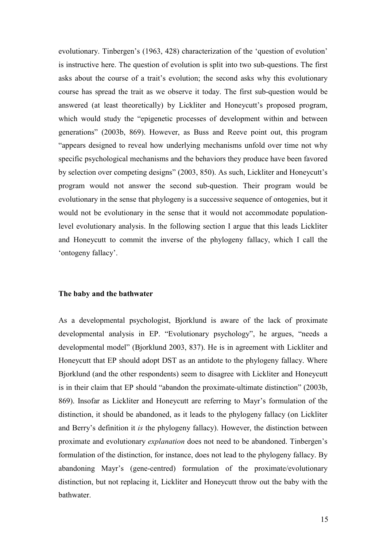evolutionary. Tinbergen's (1963, 428) characterization of the 'question of evolution' is instructive here. The question of evolution is split into two sub-questions. The first asks about the course of a trait's evolution; the second asks why this evolutionary course has spread the trait as we observe it today. The first sub-question would be answered (at least theoretically) by Lickliter and Honeycutt's proposed program, which would study the "epigenetic processes of development within and between generations" (2003b, 869). However, as Buss and Reeve point out, this program "appears designed to reveal how underlying mechanisms unfold over time not why specific psychological mechanisms and the behaviors they produce have been favored by selection over competing designs" (2003, 850). As such, Lickliter and Honeycutt's program would not answer the second sub-question. Their program would be evolutionary in the sense that phylogeny is a successive sequence of ontogenies, but it would not be evolutionary in the sense that it would not accommodate populationlevel evolutionary analysis. In the following section I argue that this leads Lickliter and Honeycutt to commit the inverse of the phylogeny fallacy, which I call the 'ontogeny fallacy'.

#### **The baby and the bathwater**

As a developmental psychologist, Bjorklund is aware of the lack of proximate developmental analysis in EP. "Evolutionary psychology", he argues, "needs a developmental model" (Bjorklund 2003, 837). He is in agreement with Lickliter and Honeycutt that EP should adopt DST as an antidote to the phylogeny fallacy. Where Bjorklund (and the other respondents) seem to disagree with Lickliter and Honeycutt is in their claim that EP should "abandon the proximate-ultimate distinction" (2003b, 869). Insofar as Lickliter and Honeycutt are referring to Mayr's formulation of the distinction, it should be abandoned, as it leads to the phylogeny fallacy (on Lickliter and Berry's definition it *is* the phylogeny fallacy). However, the distinction between proximate and evolutionary *explanation* does not need to be abandoned. Tinbergen's formulation of the distinction, for instance, does not lead to the phylogeny fallacy. By abandoning Mayr's (gene-centred) formulation of the proximate/evolutionary distinction, but not replacing it, Lickliter and Honeycutt throw out the baby with the bathwater.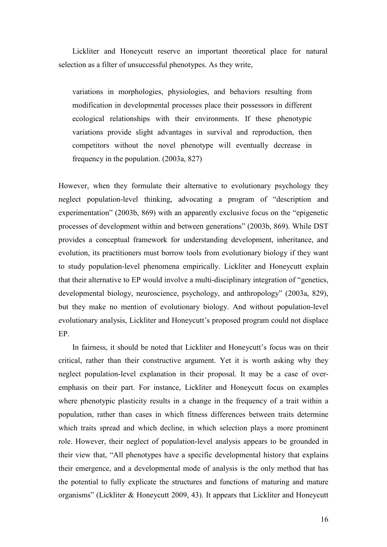Lickliter and Honeycutt reserve an important theoretical place for natural selection as a filter of unsuccessful phenotypes. As they write,

variations in morphologies, physiologies, and behaviors resulting from modification in developmental processes place their possessors in different ecological relationships with their environments. If these phenotypic variations provide slight advantages in survival and reproduction, then competitors without the novel phenotype will eventually decrease in frequency in the population. (2003a, 827)

However, when they formulate their alternative to evolutionary psychology they neglect population-level thinking, advocating a program of "description and experimentation" (2003b, 869) with an apparently exclusive focus on the "epigenetic processes of development within and between generations" (2003b, 869). While DST provides a conceptual framework for understanding development, inheritance, and evolution, its practitioners must borrow tools from evolutionary biology if they want to study population-level phenomena empirically. Lickliter and Honeycutt explain that their alternative to EP would involve a multi-disciplinary integration of "genetics, developmental biology, neuroscience, psychology, and anthropology" (2003a, 829), but they make no mention of evolutionary biology. And without population-level evolutionary analysis, Lickliter and Honeycutt's proposed program could not displace EP.

In fairness, it should be noted that Lickliter and Honeycutt's focus was on their critical, rather than their constructive argument. Yet it is worth asking why they neglect population-level explanation in their proposal. It may be a case of overemphasis on their part. For instance, Lickliter and Honeycutt focus on examples where phenotypic plasticity results in a change in the frequency of a trait within a population, rather than cases in which fitness differences between traits determine which traits spread and which decline, in which selection plays a more prominent role. However, their neglect of population-level analysis appears to be grounded in their view that, "All phenotypes have a specific developmental history that explains their emergence, and a developmental mode of analysis is the only method that has the potential to fully explicate the structures and functions of maturing and mature organisms" (Lickliter & Honeycutt 2009, 43). It appears that Lickliter and Honeycutt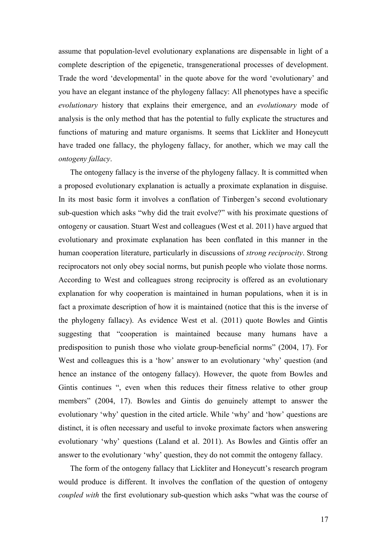assume that population-level evolutionary explanations are dispensable in light of a complete description of the epigenetic, transgenerational processes of development. Trade the word 'developmental' in the quote above for the word 'evolutionary' and you have an elegant instance of the phylogeny fallacy: All phenotypes have a specific *evolutionary* history that explains their emergence, and an *evolutionary* mode of analysis is the only method that has the potential to fully explicate the structures and functions of maturing and mature organisms. It seems that Lickliter and Honeycutt have traded one fallacy, the phylogeny fallacy, for another, which we may call the *ontogeny fallacy*.

The ontogeny fallacy is the inverse of the phylogeny fallacy. It is committed when a proposed evolutionary explanation is actually a proximate explanation in disguise. In its most basic form it involves a conflation of Tinbergen's second evolutionary sub-question which asks "why did the trait evolve?" with his proximate questions of ontogeny or causation. Stuart West and colleagues (West et al. 2011) have argued that evolutionary and proximate explanation has been conflated in this manner in the human cooperation literature, particularly in discussions of *strong reciprocity*. Strong reciprocators not only obey social norms, but punish people who violate those norms. According to West and colleagues strong reciprocity is offered as an evolutionary explanation for why cooperation is maintained in human populations, when it is in fact a proximate description of how it is maintained (notice that this is the inverse of the phylogeny fallacy). As evidence West et al. (2011) quote Bowles and Gintis suggesting that "cooperation is maintained because many humans have a predisposition to punish those who violate group-beneficial norms" (2004, 17). For West and colleagues this is a 'how' answer to an evolutionary 'why' question (and hence an instance of the ontogeny fallacy). However, the quote from Bowles and Gintis continues ", even when this reduces their fitness relative to other group members" (2004, 17). Bowles and Gintis do genuinely attempt to answer the evolutionary 'why' question in the cited article. While 'why' and 'how' questions are distinct, it is often necessary and useful to invoke proximate factors when answering evolutionary 'why' questions (Laland et al. 2011). As Bowles and Gintis offer an answer to the evolutionary 'why' question, they do not commit the ontogeny fallacy.

The form of the ontogeny fallacy that Lickliter and Honeycutt's research program would produce is different. It involves the conflation of the question of ontogeny *coupled with* the first evolutionary sub-question which asks "what was the course of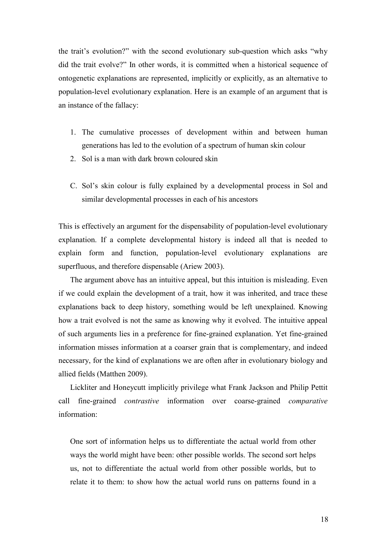the trait's evolution?" with the second evolutionary sub-question which asks "why did the trait evolve?" In other words, it is committed when a historical sequence of ontogenetic explanations are represented, implicitly or explicitly, as an alternative to population-level evolutionary explanation. Here is an example of an argument that is an instance of the fallacy:

- 1. The cumulative processes of development within and between human generations has led to the evolution of a spectrum of human skin colour
- 2. Sol is a man with dark brown coloured skin
- C. Sol's skin colour is fully explained by a developmental process in Sol and similar developmental processes in each of his ancestors

This is effectively an argument for the dispensability of population-level evolutionary explanation. If a complete developmental history is indeed all that is needed to explain form and function, population-level evolutionary explanations are superfluous, and therefore dispensable (Ariew 2003).

The argument above has an intuitive appeal, but this intuition is misleading. Even if we could explain the development of a trait, how it was inherited, and trace these explanations back to deep history, something would be left unexplained. Knowing how a trait evolved is not the same as knowing why it evolved. The intuitive appeal of such arguments lies in a preference for fine-grained explanation. Yet fine-grained information misses information at a coarser grain that is complementary, and indeed necessary, for the kind of explanations we are often after in evolutionary biology and allied fields (Matthen 2009).

Lickliter and Honeycutt implicitly privilege what Frank Jackson and Philip Pettit call fine-grained *contrastive* information over coarse-grained *comparative*  information:

One sort of information helps us to differentiate the actual world from other ways the world might have been: other possible worlds. The second sort helps us, not to differentiate the actual world from other possible worlds, but to relate it to them: to show how the actual world runs on patterns found in a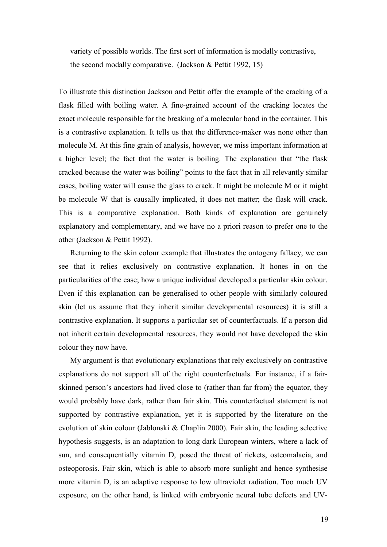variety of possible worlds. The first sort of information is modally contrastive, the second modally comparative. (Jackson & Pettit 1992, 15)

To illustrate this distinction Jackson and Pettit offer the example of the cracking of a flask filled with boiling water. A fine-grained account of the cracking locates the exact molecule responsible for the breaking of a molecular bond in the container. This is a contrastive explanation. It tells us that the difference-maker was none other than molecule M. At this fine grain of analysis, however, we miss important information at a higher level; the fact that the water is boiling. The explanation that "the flask cracked because the water was boiling" points to the fact that in all relevantly similar cases, boiling water will cause the glass to crack. It might be molecule M or it might be molecule W that is causally implicated, it does not matter; the flask will crack. This is a comparative explanation. Both kinds of explanation are genuinely explanatory and complementary, and we have no a priori reason to prefer one to the other (Jackson & Pettit 1992).

Returning to the skin colour example that illustrates the ontogeny fallacy, we can see that it relies exclusively on contrastive explanation. It hones in on the particularities of the case; how a unique individual developed a particular skin colour. Even if this explanation can be generalised to other people with similarly coloured skin (let us assume that they inherit similar developmental resources) it is still a contrastive explanation. It supports a particular set of counterfactuals. If a person did not inherit certain developmental resources, they would not have developed the skin colour they now have.

My argument is that evolutionary explanations that rely exclusively on contrastive explanations do not support all of the right counterfactuals. For instance, if a fairskinned person's ancestors had lived close to (rather than far from) the equator, they would probably have dark, rather than fair skin. This counterfactual statement is not supported by contrastive explanation, yet it is supported by the literature on the evolution of skin colour (Jablonski & Chaplin 2000). Fair skin, the leading selective hypothesis suggests, is an adaptation to long dark European winters, where a lack of sun, and consequentially vitamin D, posed the threat of rickets, osteomalacia, and osteoporosis. Fair skin, which is able to absorb more sunlight and hence synthesise more vitamin D, is an adaptive response to low ultraviolet radiation. Too much UV exposure, on the other hand, is linked with embryonic neural tube defects and UV-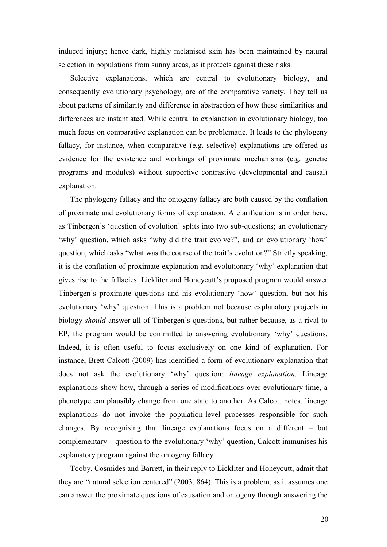induced injury; hence dark, highly melanised skin has been maintained by natural selection in populations from sunny areas, as it protects against these risks.

Selective explanations, which are central to evolutionary biology, and consequently evolutionary psychology, are of the comparative variety. They tell us about patterns of similarity and difference in abstraction of how these similarities and differences are instantiated. While central to explanation in evolutionary biology, too much focus on comparative explanation can be problematic. It leads to the phylogeny fallacy, for instance, when comparative (e.g. selective) explanations are offered as evidence for the existence and workings of proximate mechanisms (e.g. genetic programs and modules) without supportive contrastive (developmental and causal) explanation.

The phylogeny fallacy and the ontogeny fallacy are both caused by the conflation of proximate and evolutionary forms of explanation. A clarification is in order here, as Tinbergen's 'question of evolution' splits into two sub-questions; an evolutionary 'why' question, which asks "why did the trait evolve?", and an evolutionary 'how' question, which asks "what was the course of the trait's evolution?" Strictly speaking, it is the conflation of proximate explanation and evolutionary 'why' explanation that gives rise to the fallacies. Lickliter and Honeycutt's proposed program would answer Tinbergen's proximate questions and his evolutionary 'how' question, but not his evolutionary 'why' question. This is a problem not because explanatory projects in biology *should* answer all of Tinbergen's questions, but rather because, as a rival to EP, the program would be committed to answering evolutionary 'why' questions. Indeed, it is often useful to focus exclusively on one kind of explanation. For instance, Brett Calcott (2009) has identified a form of evolutionary explanation that does not ask the evolutionary 'why' question: *lineage explanation*. Lineage explanations show how, through a series of modifications over evolutionary time, a phenotype can plausibly change from one state to another. As Calcott notes, lineage explanations do not invoke the population-level processes responsible for such changes. By recognising that lineage explanations focus on a different – but complementary – question to the evolutionary 'why' question, Calcott immunises his explanatory program against the ontogeny fallacy.

Tooby, Cosmides and Barrett, in their reply to Lickliter and Honeycutt, admit that they are "natural selection centered" (2003, 864). This is a problem, as it assumes one can answer the proximate questions of causation and ontogeny through answering the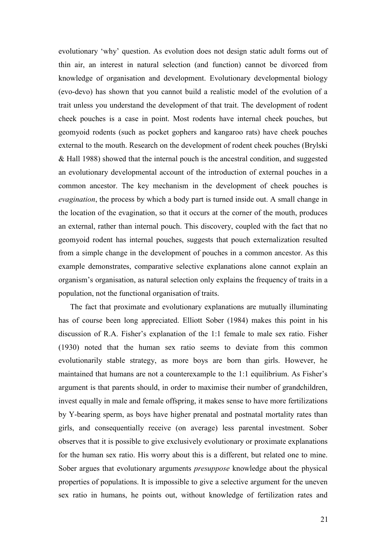evolutionary 'why' question. As evolution does not design static adult forms out of thin air, an interest in natural selection (and function) cannot be divorced from knowledge of organisation and development. Evolutionary developmental biology (evo-devo) has shown that you cannot build a realistic model of the evolution of a trait unless you understand the development of that trait. The development of rodent cheek pouches is a case in point. Most rodents have internal cheek pouches, but geomyoid rodents (such as pocket gophers and kangaroo rats) have cheek pouches external to the mouth. Research on the development of rodent cheek pouches (Brylski & Hall 1988) showed that the internal pouch is the ancestral condition, and suggested an evolutionary developmental account of the introduction of external pouches in a common ancestor. The key mechanism in the development of cheek pouches is *evagination*, the process by which a body part is turned inside out. A small change in the location of the evagination, so that it occurs at the corner of the mouth, produces an external, rather than internal pouch. This discovery, coupled with the fact that no geomyoid rodent has internal pouches, suggests that pouch externalization resulted from a simple change in the development of pouches in a common ancestor. As this example demonstrates, comparative selective explanations alone cannot explain an organism's organisation, as natural selection only explains the frequency of traits in a population, not the functional organisation of traits.

The fact that proximate and evolutionary explanations are mutually illuminating has of course been long appreciated. Elliott Sober (1984) makes this point in his discussion of R.A. Fisher's explanation of the 1:1 female to male sex ratio. Fisher (1930) noted that the human sex ratio seems to deviate from this common evolutionarily stable strategy, as more boys are born than girls. However, he maintained that humans are not a counterexample to the 1:1 equilibrium. As Fisher's argument is that parents should, in order to maximise their number of grandchildren, invest equally in male and female offspring, it makes sense to have more fertilizations by Y-bearing sperm, as boys have higher prenatal and postnatal mortality rates than girls, and consequentially receive (on average) less parental investment. Sober observes that it is possible to give exclusively evolutionary or proximate explanations for the human sex ratio. His worry about this is a different, but related one to mine. Sober argues that evolutionary arguments *presuppose* knowledge about the physical properties of populations. It is impossible to give a selective argument for the uneven sex ratio in humans, he points out, without knowledge of fertilization rates and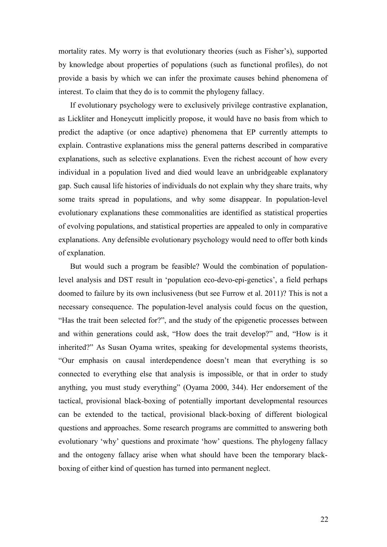mortality rates. My worry is that evolutionary theories (such as Fisher's), supported by knowledge about properties of populations (such as functional profiles), do not provide a basis by which we can infer the proximate causes behind phenomena of interest. To claim that they do is to commit the phylogeny fallacy.

If evolutionary psychology were to exclusively privilege contrastive explanation, as Lickliter and Honeycutt implicitly propose, it would have no basis from which to predict the adaptive (or once adaptive) phenomena that EP currently attempts to explain. Contrastive explanations miss the general patterns described in comparative explanations, such as selective explanations. Even the richest account of how every individual in a population lived and died would leave an unbridgeable explanatory gap. Such causal life histories of individuals do not explain why they share traits, why some traits spread in populations, and why some disappear. In population-level evolutionary explanations these commonalities are identified as statistical properties of evolving populations, and statistical properties are appealed to only in comparative explanations. Any defensible evolutionary psychology would need to offer both kinds of explanation.

But would such a program be feasible? Would the combination of populationlevel analysis and DST result in 'population eco-devo-epi-genetics', a field perhaps doomed to failure by its own inclusiveness (but see Furrow et al. 2011)? This is not a necessary consequence. The population-level analysis could focus on the question, "Has the trait been selected for?", and the study of the epigenetic processes between and within generations could ask, "How does the trait develop?" and, "How is it inherited?" As Susan Oyama writes, speaking for developmental systems theorists, "Our emphasis on causal interdependence doesn't mean that everything is so connected to everything else that analysis is impossible, or that in order to study anything, you must study everything" (Oyama 2000, 344). Her endorsement of the tactical, provisional black-boxing of potentially important developmental resources can be extended to the tactical, provisional black-boxing of different biological questions and approaches. Some research programs are committed to answering both evolutionary 'why' questions and proximate 'how' questions. The phylogeny fallacy and the ontogeny fallacy arise when what should have been the temporary blackboxing of either kind of question has turned into permanent neglect.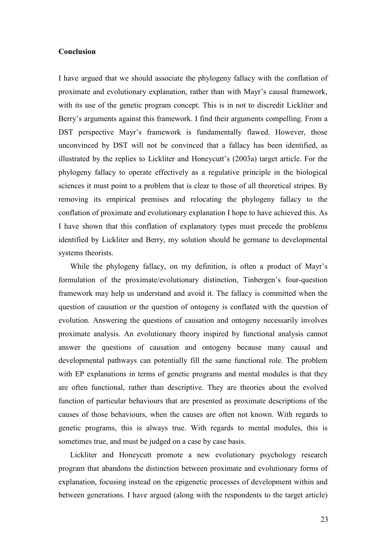### **Conclusion**

I have argued that we should associate the phylogeny fallacy with the conflation of proximate and evolutionary explanation, rather than with Mayr's causal framework, with its use of the genetic program concept. This is in not to discredit Lickliter and Berry's arguments against this framework. I find their arguments compelling. From a DST perspective Mayr's framework is fundamentally flawed. However, those unconvinced by DST will not be convinced that a fallacy has been identified, as illustrated by the replies to Lickliter and Honeycutt's (2003a) target article. For the phylogeny fallacy to operate effectively as a regulative principle in the biological sciences it must point to a problem that is clear to those of all theoretical stripes. By removing its empirical premises and relocating the phylogeny fallacy to the conflation of proximate and evolutionary explanation I hope to have achieved this. As I have shown that this conflation of explanatory types must precede the problems identified by Lickliter and Berry, my solution should be germane to developmental systems theorists.

While the phylogeny fallacy, on my definition, is often a product of Mayr's formulation of the proximate/evolutionary distinction, Tinbergen's four-question framework may help us understand and avoid it. The fallacy is committed when the question of causation or the question of ontogeny is conflated with the question of evolution. Answering the questions of causation and ontogeny necessarily involves proximate analysis. An evolutionary theory inspired by functional analysis cannot answer the questions of causation and ontogeny because many causal and developmental pathways can potentially fill the same functional role. The problem with EP explanations in terms of genetic programs and mental modules is that they are often functional, rather than descriptive. They are theories about the evolved function of particular behaviours that are presented as proximate descriptions of the causes of those behaviours, when the causes are often not known. With regards to genetic programs, this is always true. With regards to mental modules, this is sometimes true, and must be judged on a case by case basis.

Lickliter and Honeycutt promote a new evolutionary psychology research program that abandons the distinction between proximate and evolutionary forms of explanation, focusing instead on the epigenetic processes of development within and between generations. I have argued (along with the respondents to the target article)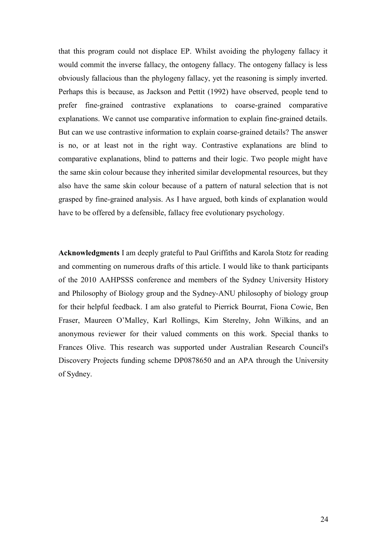that this program could not displace EP. Whilst avoiding the phylogeny fallacy it would commit the inverse fallacy, the ontogeny fallacy. The ontogeny fallacy is less obviously fallacious than the phylogeny fallacy, yet the reasoning is simply inverted. Perhaps this is because, as Jackson and Pettit (1992) have observed, people tend to prefer fine-grained contrastive explanations to coarse-grained comparative explanations. We cannot use comparative information to explain fine-grained details. But can we use contrastive information to explain coarse-grained details? The answer is no, or at least not in the right way. Contrastive explanations are blind to comparative explanations, blind to patterns and their logic. Two people might have the same skin colour because they inherited similar developmental resources, but they also have the same skin colour because of a pattern of natural selection that is not grasped by fine-grained analysis. As I have argued, both kinds of explanation would have to be offered by a defensible, fallacy free evolutionary psychology.

**Acknowledgments** I am deeply grateful to Paul Griffiths and Karola Stotz for reading and commenting on numerous drafts of this article. I would like to thank participants of the 2010 AAHPSSS conference and members of the Sydney University History and Philosophy of Biology group and the Sydney-ANU philosophy of biology group for their helpful feedback. I am also grateful to Pierrick Bourrat, Fiona Cowie, Ben Fraser, Maureen O'Malley, Karl Rollings, Kim Sterelny, John Wilkins, and an anonymous reviewer for their valued comments on this work. Special thanks to Frances Olive. This research was supported under Australian Research Council's Discovery Projects funding scheme DP0878650 and an APA through the University of Sydney.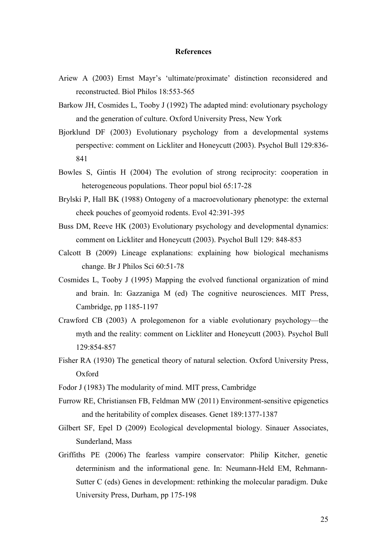#### **References**

- Ariew A (2003) Ernst Mayr's 'ultimate/proximate' distinction reconsidered and reconstructed. Biol Philos 18:553-565
- Barkow JH, Cosmides L, Tooby J (1992) The adapted mind: evolutionary psychology and the generation of culture. Oxford University Press, New York
- Bjorklund DF (2003) Evolutionary psychology from a developmental systems perspective: comment on Lickliter and Honeycutt (2003). Psychol Bull 129:836- 841
- Bowles S, Gintis H (2004) The evolution of strong reciprocity: cooperation in heterogeneous populations. Theor popul biol 65:17-28
- Brylski P, Hall BK (1988) Ontogeny of a macroevolutionary phenotype: the external cheek pouches of geomyoid rodents. Evol 42:391-395
- Buss DM, Reeve HK (2003) Evolutionary psychology and developmental dynamics: comment on Lickliter and Honeycutt (2003). Psychol Bull 129: 848-853
- Calcott B (2009) Lineage explanations: explaining how biological mechanisms change. Br J Philos Sci 60:51-78
- Cosmides L, Tooby J (1995) Mapping the evolved functional organization of mind and brain. In: Gazzaniga M (ed) The cognitive neurosciences. MIT Press, Cambridge, pp 1185-1197
- Crawford CB (2003) A prolegomenon for a viable evolutionary psychology—the myth and the reality: comment on Lickliter and Honeycutt (2003). Psychol Bull 129:854-857
- Fisher RA (1930) The genetical theory of natural selection. Oxford University Press, Oxford
- Fodor J (1983) The modularity of mind. MIT press, Cambridge
- Furrow RE, Christiansen FB, Feldman MW (2011) Environment-sensitive epigenetics and the heritability of complex diseases. Genet 189:1377-1387
- Gilbert SF, Epel D (2009) Ecological developmental biology. Sinauer Associates, Sunderland, Mass
- Griffiths PE (2006) The fearless vampire conservator: Philip Kitcher, genetic determinism and the informational gene. In: Neumann-Held EM, Rehmann-Sutter C (eds) Genes in development: rethinking the molecular paradigm. Duke University Press, Durham, pp 175-198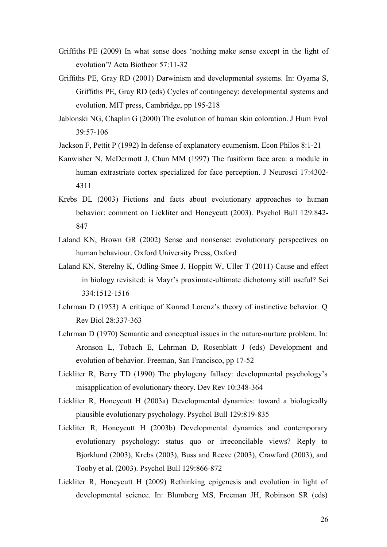- Griffiths PE (2009) In what sense does 'nothing make sense except in the light of evolution'? Acta Biotheor 57:11-32
- Griffiths PE, Gray RD (2001) Darwinism and developmental systems. In: Oyama S, Griffiths PE, Gray RD (eds) Cycles of contingency: developmental systems and evolution. MIT press, Cambridge, pp 195-218
- Jablonski NG, Chaplin G (2000) The evolution of human skin coloration. J Hum Evol 39:57-106
- Jackson F, Pettit P (1992) In defense of explanatory ecumenism. Econ Philos 8:1-21
- Kanwisher N, McDermott J, Chun MM (1997) The fusiform face area: a module in human extrastriate cortex specialized for face perception. J Neurosci 17:4302- 4311
- Krebs DL (2003) Fictions and facts about evolutionary approaches to human behavior: comment on Lickliter and Honeycutt (2003). Psychol Bull 129:842- 847
- Laland KN, Brown GR (2002) Sense and nonsense: evolutionary perspectives on human behaviour. Oxford University Press, Oxford
- Laland KN, Sterelny K, Odling-Smee J, Hoppitt W, Uller T (2011) Cause and effect in biology revisited: is Mayr's proximate-ultimate dichotomy still useful? Sci 334:1512-1516
- Lehrman D (1953) A critique of Konrad Lorenz's theory of instinctive behavior. Q Rev Biol 28:337-363
- Lehrman D (1970) Semantic and conceptual issues in the nature-nurture problem. In: Aronson L, Tobach E, Lehrman D, Rosenblatt J (eds) Development and evolution of behavior. Freeman, San Francisco, pp 17-52
- Lickliter R, Berry TD (1990) The phylogeny fallacy: developmental psychology's misapplication of evolutionary theory. Dev Rev 10:348-364
- Lickliter R, Honeycutt H (2003a) Developmental dynamics: toward a biologically plausible evolutionary psychology. Psychol Bull 129:819-835
- Lickliter R, Honeycutt H (2003b) Developmental dynamics and contemporary evolutionary psychology: status quo or irreconcilable views? Reply to Bjorklund (2003), Krebs (2003), Buss and Reeve (2003), Crawford (2003), and Tooby et al. (2003). Psychol Bull 129:866-872
- Lickliter R, Honeycutt H (2009) Rethinking epigenesis and evolution in light of developmental science. In: Blumberg MS, Freeman JH, Robinson SR (eds)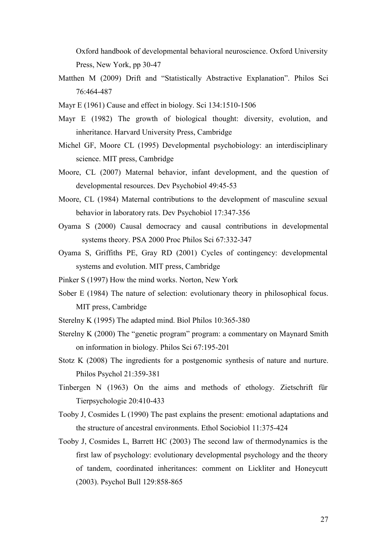Oxford handbook of developmental behavioral neuroscience. Oxford University Press, New York, pp 30-47

- Matthen M (2009) Drift and "Statistically Abstractive Explanation". Philos Sci 76:464-487
- Mayr E (1961) Cause and effect in biology. Sci 134:1510-1506
- Mayr E (1982) The growth of biological thought: diversity, evolution, and inheritance. Harvard University Press, Cambridge
- Michel GF, Moore CL (1995) Developmental psychobiology: an interdisciplinary science. MIT press, Cambridge
- Moore, CL (2007) Maternal behavior, infant development, and the question of developmental resources. Dev Psychobiol 49:45-53
- Moore, CL (1984) Maternal contributions to the development of masculine sexual behavior in laboratory rats. Dev Psychobiol 17:347-356
- Oyama S (2000) Causal democracy and causal contributions in developmental systems theory. PSA 2000 Proc Philos Sci 67:332-347
- Oyama S, Griffiths PE, Gray RD (2001) Cycles of contingency: developmental systems and evolution. MIT press, Cambridge
- Pinker S (1997) How the mind works. Norton, New York
- Sober E (1984) The nature of selection: evolutionary theory in philosophical focus. MIT press, Cambridge
- Sterelny K (1995) The adapted mind. Biol Philos 10:365-380
- Sterelny K (2000) The "genetic program" program: a commentary on Maynard Smith on information in biology. Philos Sci 67:195-201
- Stotz K (2008) The ingredients for a postgenomic synthesis of nature and nurture. Philos Psychol 21:359-381
- Tinbergen N (1963) On the aims and methods of ethology. Zietschrift für Tierpsychologie 20:410-433
- Tooby J, Cosmides L (1990) The past explains the present: emotional adaptations and the structure of ancestral environments. Ethol Sociobiol 11:375-424
- Tooby J, Cosmides L, Barrett HC (2003) The second law of thermodynamics is the first law of psychology: evolutionary developmental psychology and the theory of tandem, coordinated inheritances: comment on Lickliter and Honeycutt (2003). Psychol Bull 129:858-865